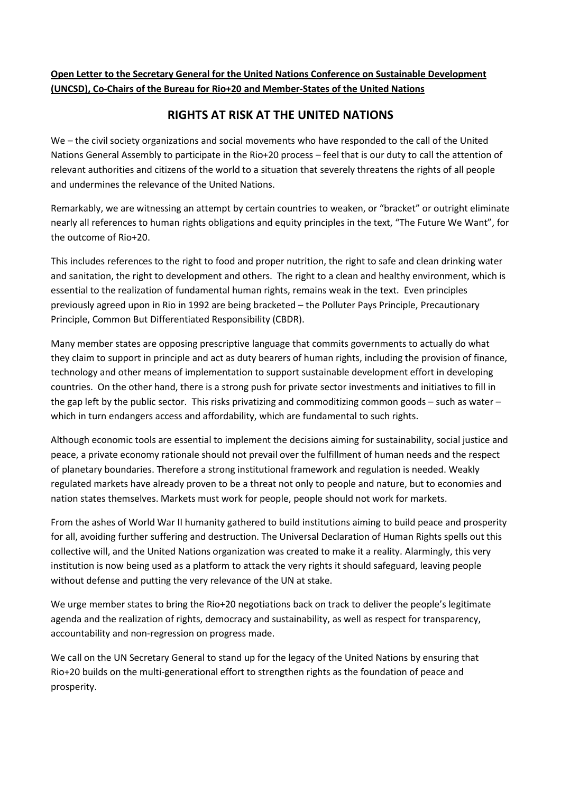## **Open Letter to the Secretary General for the United Nations Conference on Sustainable Development (UNCSD), Co-Chairs of the Bureau for Rio+20 and Member-States of the United Nations**

## **RIGHTS AT RISK AT THE UNITED NATIONS**

We – the civil society organizations and social movements who have responded to the call of the United Nations General Assembly to participate in the Rio+20 process – feel that is our duty to call the attention of relevant authorities and citizens of the world to a situation that severely threatens the rights of all people and undermines the relevance of the United Nations.

Remarkably, we are witnessing an attempt by certain countries to weaken, or "bracket" or outright eliminate nearly all references to human rights obligations and equity principles in the text, "The Future We Want", for the outcome of Rio+20.

This includes references to the right to food and proper nutrition, the right to safe and clean drinking water and sanitation, the right to development and others. The right to a clean and healthy environment, which is essential to the realization of fundamental human rights, remains weak in the text. Even principles previously agreed upon in Rio in 1992 are being bracketed – the Polluter Pays Principle, Precautionary Principle, Common But Differentiated Responsibility (CBDR).

Many member states are opposing prescriptive language that commits governments to actually do what they claim to support in principle and act as duty bearers of human rights, including the provision of finance, technology and other means of implementation to support sustainable development effort in developing countries. On the other hand, there is a strong push for private sector investments and initiatives to fill in the gap left by the public sector. This risks privatizing and commoditizing common goods – such as water – which in turn endangers access and affordability, which are fundamental to such rights.

Although economic tools are essential to implement the decisions aiming for sustainability, social justice and peace, a private economy rationale should not prevail over the fulfillment of human needs and the respect of planetary boundaries. Therefore a strong institutional framework and regulation is needed. Weakly regulated markets have already proven to be a threat not only to people and nature, but to economies and nation states themselves. Markets must work for people, people should not work for markets.

From the ashes of World War II humanity gathered to build institutions aiming to build peace and prosperity for all, avoiding further suffering and destruction. The Universal Declaration of Human Rights spells out this collective will, and the United Nations organization was created to make it a reality. Alarmingly, this very institution is now being used as a platform to attack the very rights it should safeguard, leaving people without defense and putting the very relevance of the UN at stake.

We urge member states to bring the Rio+20 negotiations back on track to deliver the people's legitimate agenda and the realization of rights, democracy and sustainability, as well as respect for transparency, accountability and non-regression on progress made.

We call on the UN Secretary General to stand up for the legacy of the United Nations by ensuring that Rio+20 builds on the multi-generational effort to strengthen rights as the foundation of peace and prosperity.